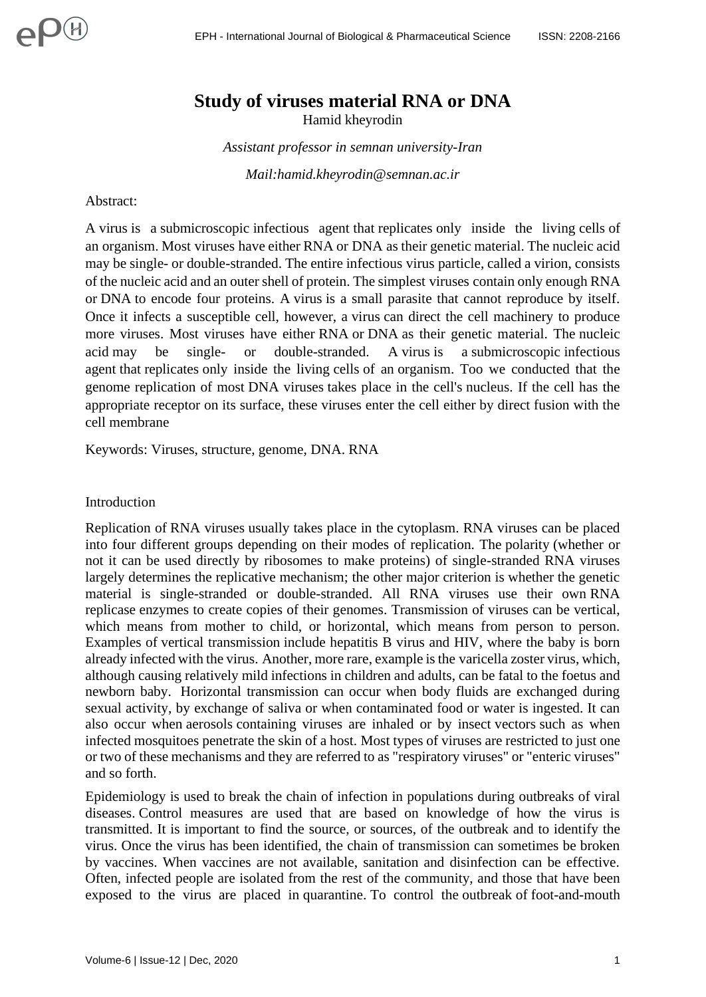# **Study of viruses material RNA or DNA**

Hamid kheyrodin

*Assistant professor in semnan university-Iran Mail:hamid.kheyrodin@semnan.ac.ir*

### Abstract:

A virus is a [submicroscopic](https://en.wiktionary.org/wiki/submicroscopic) [infectious agent](https://en.wikipedia.org/wiki/Infectious_agent) that [replicates](https://en.wikipedia.org/wiki/Viral_replication) only inside the living [cells](https://en.wikipedia.org/wiki/Cell_(biology)) of an [organism.](https://en.wikipedia.org/wiki/Organism) Most viruses have either RNA or DNA as their genetic material. The nucleic acid may be single- or double-stranded. The entire infectious virus particle, called a virion, consists of the nucleic acid and an outer shell of protein. The simplest viruses contain only enough RNA or DNA to encode four proteins. A [virus](https://www.ncbi.nlm.nih.gov/books/n/mcb/A7315/#A7862) is a small parasite that cannot reproduce by itself. Once it infects a susceptible cell, however, a [virus](https://www.ncbi.nlm.nih.gov/books/n/mcb/A7315/def-item/A7862/) can direct the cell machinery to produce more viruses. Most viruses have either [RNA](https://www.ncbi.nlm.nih.gov/books/n/mcb/A7315/def-item/A7786/) or [DNA](https://www.ncbi.nlm.nih.gov/books/n/mcb/A7315/def-item/A7455/) as their genetic material. The [nucleic](https://www.ncbi.nlm.nih.gov/books/n/mcb/A7315/def-item/A7686/)  [acid](https://www.ncbi.nlm.nih.gov/books/n/mcb/A7315/def-item/A7686/) may be single- or double-stranded. A virus is a [submicroscopic](https://en.wiktionary.org/wiki/submicroscopic) [infectious](https://en.wikipedia.org/wiki/Infectious_agent)  [agent](https://en.wikipedia.org/wiki/Infectious_agent) that [replicates](https://en.wikipedia.org/wiki/Viral_replication) only inside the living [cells](https://en.wikipedia.org/wiki/Cell_(biology)) of an [organism.](https://en.wikipedia.org/wiki/Organism) Too we conducted that the genome replication of most [DNA viruses](https://en.wikipedia.org/wiki/DNA_virus) takes place in the cell's [nucleus.](https://en.wikipedia.org/wiki/Cell_nucleus) If the cell has the appropriate receptor on its surface, these viruses enter the cell either by direct fusion with the cell membrane

Keywords: Viruses, structure, genome, DNA. RNA

#### Introduction

Replication of [RNA viruses](https://en.wikipedia.org/wiki/RNA_virus) usually takes place in the [cytoplasm.](https://en.wikipedia.org/wiki/Cytoplasm) RNA viruses can be placed into four different groups depending on their modes of replication. The [polarity](https://en.wikipedia.org/wiki/Sense_(molecular_biology)) (whether or not it can be used directly by ribosomes to make proteins) of single-stranded RNA viruses largely determines the replicative mechanism; the other major criterion is whether the genetic material is single-stranded or double-stranded. All RNA viruses use their own [RNA](https://en.wikipedia.org/wiki/RNA_replicase)  [replicase](https://en.wikipedia.org/wiki/RNA_replicase) enzymes to create copies of their genomes. Transmission of viruses can be vertical, which means from mother to child, or horizontal, which means from person to person. Examples of [vertical transmission](https://en.wikipedia.org/wiki/Vertical_transmission) include hepatitis B virus and HIV, where the baby is born already infected with the virus. Another, more rare, example is the [varicella zoster virus,](https://en.wikipedia.org/wiki/Varicella_zoster_virus) which, although causing relatively mild infections in children and adults, can be fatal to the foetus and newborn baby. Horizontal transmission can occur when body fluids are exchanged during sexual activity, by exchange of saliva or when contaminated food or water is ingested. It can also occur when [aerosols](https://en.wikipedia.org/wiki/Aerosol) containing viruses are inhaled or by insect [vectors](https://en.wikipedia.org/wiki/Vector_(epidemiology)) such as when infected mosquitoes penetrate the skin of a host. Most types of viruses are restricted to just one or two of these mechanisms and they are referred to as "respiratory viruses" or "enteric viruses" and so forth.

Epidemiology is used to break the chain of infection in populations during outbreaks of [viral](https://en.wikipedia.org/wiki/Viral_disease)  [diseases.](https://en.wikipedia.org/wiki/Viral_disease) Control measures are used that are based on knowledge of how the virus is transmitted. It is important to find the source, or sources, of the outbreak and to identify the virus. Once the virus has been identified, the chain of transmission can sometimes be broken by vaccines. When vaccines are not available, sanitation and disinfection can be effective. Often, infected people are isolated from the rest of the community, and those that have been exposed to the virus are placed in [quarantine.](https://en.wikipedia.org/wiki/Quarantine) To control the [outbreak](https://en.wikipedia.org/wiki/2001_United_Kingdom_foot-and-mouth_outbreak) of [foot-and-mouth](https://en.wikipedia.org/wiki/Foot-and-mouth_disease)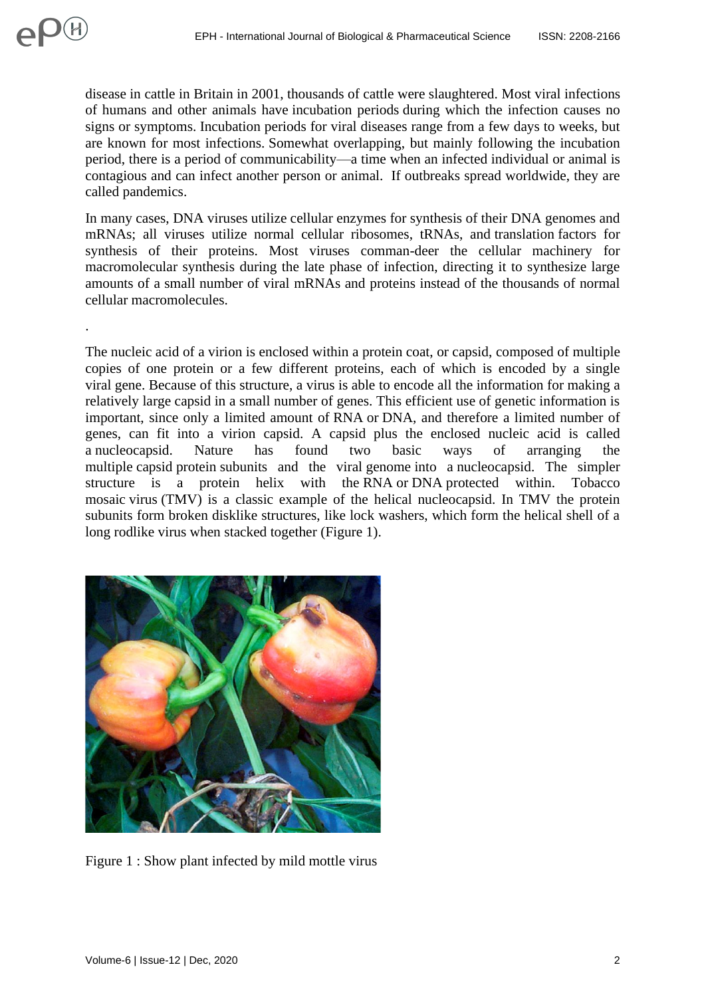.

[disease](https://en.wikipedia.org/wiki/Foot-and-mouth_disease) in cattle in Britain in 2001, thousands of cattle were slaughtered. Most viral infections of humans and other animals have [incubation periods](https://en.wikipedia.org/wiki/Incubation_period) during which the infection causes no signs or symptoms. Incubation periods for viral diseases range from a few days to weeks, but are known for most infections. Somewhat overlapping, but mainly following the incubation period, there is a period of communicability—a time when an infected individual or animal is contagious and can infect another person or animal. If outbreaks spread worldwide, they are called [pandemics.](https://en.wikipedia.org/wiki/Pandemic)

In many cases, [DNA](https://www.ncbi.nlm.nih.gov/books/n/mcb/A7315/def-item/A7455/) viruses utilize cellular enzymes for synthesis of their DNA genomes and mRNAs; all viruses utilize normal cellular ribosomes, tRNAs, and [translation](https://www.ncbi.nlm.nih.gov/books/n/mcb/A7315/def-item/A7845/) factors for synthesis of their proteins. Most viruses comman-deer the cellular machinery for macromolecular synthesis during the late phase of infection, directing it to synthesize large amounts of a small number of viral mRNAs and proteins instead of the thousands of normal cellular macromolecules.

The [nucleic acid](https://www.ncbi.nlm.nih.gov/books/n/mcb/A7315/def-item/A7686/) of a [virion](https://www.ncbi.nlm.nih.gov/books/n/mcb/A7315/def-item/A7861/) is enclosed within a [protein](https://www.ncbi.nlm.nih.gov/books/n/mcb/A7315/def-item/A7752/) coat, or [capsid,](https://www.ncbi.nlm.nih.gov/books/n/mcb/A7315/#A7371) composed of multiple copies of one protein or a few different proteins, each of which is encoded by a single viral [gene.](https://www.ncbi.nlm.nih.gov/books/n/mcb/A7315/def-item/A7519/) Because of this structure, a [virus](https://www.ncbi.nlm.nih.gov/books/n/mcb/A7315/def-item/A7862/) is able to encode all the information for making a relatively large [capsid](https://www.ncbi.nlm.nih.gov/books/n/mcb/A7315/def-item/A7371/) in a small number of genes. This efficient use of genetic information is important, since only a limited amount of [RNA](https://www.ncbi.nlm.nih.gov/books/n/mcb/A7315/def-item/A7786/) or [DNA,](https://www.ncbi.nlm.nih.gov/books/n/mcb/A7315/def-item/A7455/) and therefore a limited number of genes, can fit into a virion capsid. A capsid plus the enclosed nucleic acid is called a [nucleocapsid.](https://www.ncbi.nlm.nih.gov/books/n/mcb/A7315/#A7687) Nature has found two basic ways of arranging the multiple [capsid](https://www.ncbi.nlm.nih.gov/books/n/mcb/A7315/def-item/A7371/) [protein](https://www.ncbi.nlm.nih.gov/books/n/mcb/A7315/def-item/A7752/) subunits and the viral [genome](https://www.ncbi.nlm.nih.gov/books/n/mcb/A7315/def-item/A7525/) into a [nucleocapsid.](https://www.ncbi.nlm.nih.gov/books/n/mcb/A7315/def-item/A7687/) The simpler structure is a protein helix with the [RNA](https://www.ncbi.nlm.nih.gov/books/n/mcb/A7315/def-item/A7786/) or [DNA](https://www.ncbi.nlm.nih.gov/books/n/mcb/A7315/def-item/A7455/) protected within. Tobacco mosaic [virus](https://www.ncbi.nlm.nih.gov/books/n/mcb/A7315/def-item/A7862/) (TMV) is a classic example of the helical nucleocapsid. In TMV the protein subunits form broken disklike structures, like lock washers, which form the helical shell of a long rodlike virus when stacked together (Figure 1).



Figure 1 : Show plant infected by mild mottle virus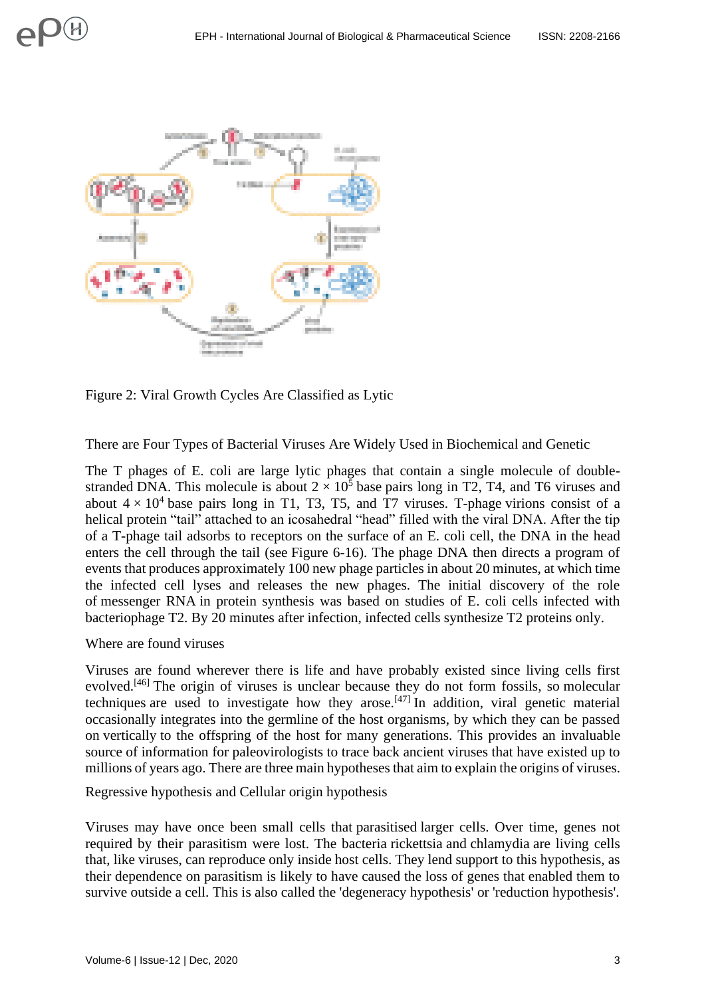

Figure 2: Viral Growth Cycles Are Classified as Lytic

There are Four Types of Bacterial Viruses Are Widely Used in Biochemical and Genetic

The T phages of E. coli are large lytic phages that contain a single molecule of double-stranded [DNA.](https://www.ncbi.nlm.nih.gov/books/n/mcb/A7315/def-item/A7455/) This molecule is about  $2 \times 10^5$  [base](https://www.ncbi.nlm.nih.gov/books/n/mcb/A7315/def-item/A7359/) pairs long in T2, T4, and T6 viruses and about  $4 \times 10^4$  base pairs long in T1, T3, T5, and T7 viruses. T[-phage](https://www.ncbi.nlm.nih.gov/books/n/mcb/A7315/def-item/A7713/) virions consist of a helical [protein](https://www.ncbi.nlm.nih.gov/books/n/mcb/A7315/def-item/A7752/) "tail" attached to an icosahedral "head" filled with the viral DNA. After the tip of a T-phage tail adsorbs to receptors on the surface of an E. coli cell, the DNA in the head enters the cell through the tail (see [Figure 6-16\)](https://www.ncbi.nlm.nih.gov/books/NBK21523/figure/A1418/?report=objectonly). The phage DNA then directs a program of events that produces approximately 100 new phage particles in about 20 minutes, at which time the infected cell lyses and releases the new phages. The initial discovery of the role of [messenger RNA](https://www.ncbi.nlm.nih.gov/books/n/mcb/A7315/def-item/A7641/) in protein synthesis was based on studies of E. coli cells infected with bacteriophage T2. By 20 minutes after infection, infected cells synthesize T2 proteins only.

Where are found viruses

Viruses are found wherever there is life and have probably existed since living cells first evolved.<sup>[\[46\]](https://en.wikipedia.org/wiki/Virus#cite_note-pmid16494962-46)</sup> The origin of viruses is unclear because they do not form fossils, so molecular [techniques](https://en.wikipedia.org/wiki/Molecular_biology) are used to investigate how they arose.<sup>[\[47\]](https://en.wikipedia.org/wiki/Virus#cite_note-pmid20660197-47)</sup> In addition, viral genetic material occasionally integrates into the [germline](https://en.wikipedia.org/wiki/Germline) of the host organisms, by which they can be passed on [vertically](https://en.wikipedia.org/wiki/Vertical_transfer) to the offspring of the host for many generations. This provides an invaluable source of information for [paleovirologists](https://en.wikipedia.org/wiki/Paleovirology) to trace back ancient viruses that have existed up to millions of years ago. There are three main hypotheses that aim to explain the origins of viruses.

Regressive hypothesis and Cellular origin hypothesis

Viruses may have once been small cells that [parasitised](https://en.wikipedia.org/wiki/Parasitism) larger cells. Over time, genes not required by their parasitism were lost. The bacteria [rickettsia](https://en.wikipedia.org/wiki/Rickettsia) and [chlamydia](https://en.wikipedia.org/wiki/Chlamydia_(genus)) are living cells that, like viruses, can reproduce only inside host cells. They lend support to this hypothesis, as their dependence on parasitism is likely to have caused the loss of genes that enabled them to survive outside a cell. This is also called the 'degeneracy hypothesis' or 'reduction hypothesis'.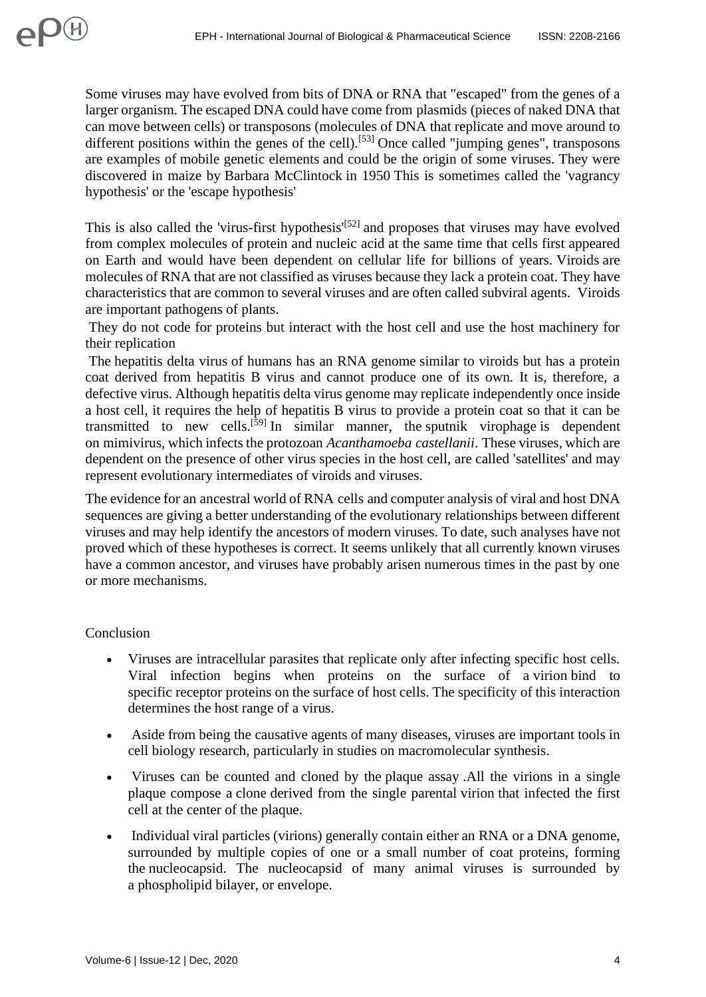Some viruses may have evolved from bits of DNA or RNA that "escaped" from the genes of a larger organism. The escaped DNA could have come from [plasmids](https://en.wikipedia.org/wiki/Plasmid) (pieces of naked DNA that can move between cells) or [transposons](https://en.wikipedia.org/wiki/Transposons) (molecules of DNA that replicate and move around to different positions within the genes of the cell).<sup>[\[53\]](https://en.wikipedia.org/wiki/Virus#cite_note-53)</sup> Once called "jumping genes", transposons are examples of [mobile genetic elements](https://en.wikipedia.org/wiki/Mobile_genetic_elements) and could be the origin of some viruses. They were discovered in maize by [Barbara McClintock](https://en.wikipedia.org/wiki/Barbara_McClintock) in 1950 This is sometimes called the 'vagrancy hypothesis' or the 'escape hypothesis'

This is also called the 'virus-first hypothesis'<sup>[\[52\]](https://en.wikipedia.org/wiki/Virus#cite_note-Mahy_Gen_24-52)</sup> and proposes that viruses may have evolved from complex molecules of protein and [nucleic acid](https://en.wikipedia.org/wiki/Nucleic_acid) at the same time that cells first appeared on Earth and would have been dependent on cellular life for billions of years. [Viroids](https://en.wikipedia.org/wiki/Viroids) are molecules of RNA that are not classified as viruses because they lack a protein coat. They have characteristics that are common to several viruses and are often called subviral agents. Viroids are important pathogens of plants.

They do not code for proteins but interact with the host cell and use the host machinery for their replication

The [hepatitis delta virus](https://en.wikipedia.org/wiki/Hepatitis_delta_virus) of humans has an RNA [genome](https://en.wikipedia.org/wiki/Genome) similar to viroids but has a protein coat derived from hepatitis B virus and cannot produce one of its own. It is, therefore, a defective virus. Although hepatitis delta virus genome may replicate independently once inside a host cell, it requires the help of hepatitis B virus to provide a protein coat so that it can be transmitted to new cells.<sup>[\[59\]](https://en.wikipedia.org/wiki/Virus#cite_note-59)</sup> In similar manner, the [sputnik virophage](https://en.wikipedia.org/wiki/Sputnik_virophage) is dependent on [mimivirus,](https://en.wikipedia.org/wiki/Mimivirus) which infects the protozoan *[Acanthamoeba](https://en.wikipedia.org/wiki/Acanthamoeba) castellanii*. These viruses, which are dependent on the presence of other virus species in the host cell, are called ['satellites'](https://en.wikipedia.org/wiki/Satellite_(biology)) and may represent evolutionary intermediates of viroids and viruses.

The evidence for an [ancestral world of RNA](https://en.wikipedia.org/wiki/RNA_world) cells and computer analysis of viral and host DNA sequences are giving a better understanding of the evolutionary relationships between different viruses and may help identify the ancestors of modern viruses. To date, such analyses have not proved which of these hypotheses is correct. It seems unlikely that all currently known viruses have a common ancestor, and viruses have probably arisen numerous times in the past by one or more mechanisms.

## Conclusion

- Viruses are intracellular parasites that replicate only after infecting specific host cells. Viral infection begins when proteins on the surface of a [virion](https://www.ncbi.nlm.nih.gov/books/n/mcb/A7315/def-item/A7861/) bind to specific [receptor](https://www.ncbi.nlm.nih.gov/books/n/mcb/A7315/def-item/A7765/) proteins on the surface of host cells. The specificity of this interaction determines the host range of a [virus.](https://www.ncbi.nlm.nih.gov/books/n/mcb/A7315/def-item/A7862/)
- Aside from being the causative agents of many diseases, viruses are important tools in cell biology research, particularly in studies on macromolecular synthesis.
- Viruses can be counted and cloned by the [plaque assay](https://www.ncbi.nlm.nih.gov/books/n/mcb/A7315/def-item/A7726/) .All the virions in a single plaque compose a [clone](https://www.ncbi.nlm.nih.gov/books/n/mcb/A7315/def-item/A7411/) derived from the single parental [virion](https://www.ncbi.nlm.nih.gov/books/n/mcb/A7315/def-item/A7861/) that infected the first cell at the center of the plaque.
- Individual viral particles (virions) generally contain either an [RNA](https://www.ncbi.nlm.nih.gov/books/n/mcb/A7315/def-item/A7786/) or a [DNA](https://www.ncbi.nlm.nih.gov/books/n/mcb/A7315/def-item/A7455/) [genome,](https://www.ncbi.nlm.nih.gov/books/n/mcb/A7315/def-item/A7525/) surrounded by multiple copies of one or a small number of coat proteins, forming the [nucleocapsid.](https://www.ncbi.nlm.nih.gov/books/n/mcb/A7315/def-item/A7687/) The nucleocapsid of many animal viruses is surrounded by a [phospholipid bilayer,](https://www.ncbi.nlm.nih.gov/books/n/mcb/A7315/def-item/A7721/) or envelope.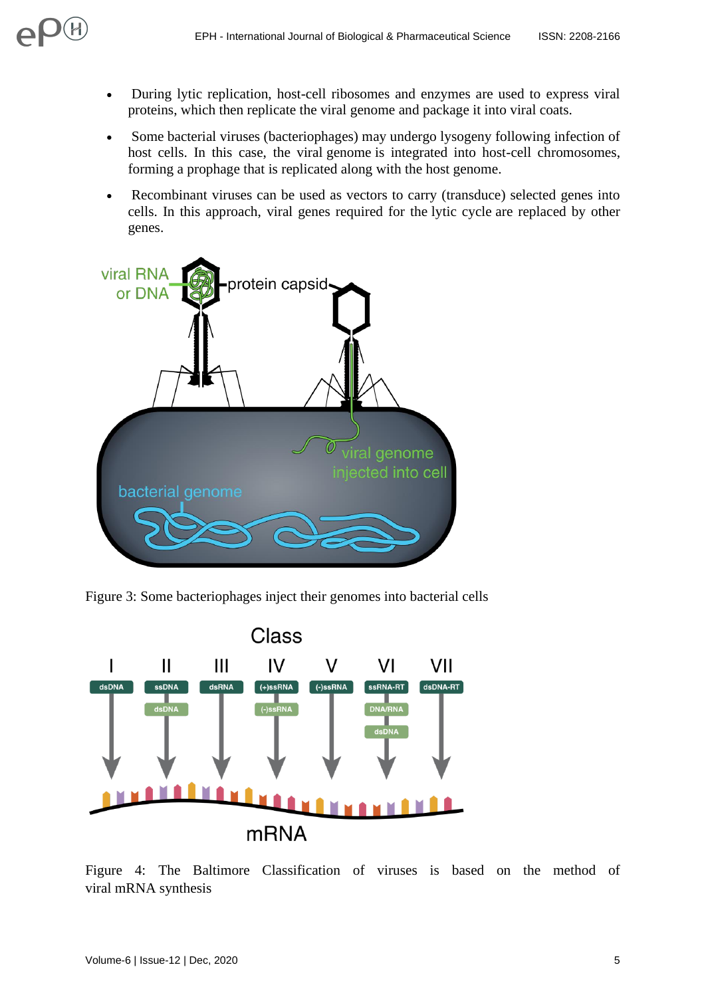- During lytic replication, host-cell ribosomes and enzymes are used to express viral proteins, which then replicate the viral [genome](https://www.ncbi.nlm.nih.gov/books/n/mcb/A7315/def-item/A7525/) and package it into viral coats.
- Some bacterial viruses (bacteriophages) may undergo [lysogeny](https://www.ncbi.nlm.nih.gov/books/n/mcb/A7315/def-item/A7628/) following infection of host cells. In this case, the viral [genome](https://www.ncbi.nlm.nih.gov/books/n/mcb/A7315/def-item/A7525/) is integrated into host-cell chromosomes, forming a prophage that is replicated along with the host genome.
- Recombinant viruses can be used as vectors to carry (transduce) selected genes into cells. In this approach, viral genes required for the [lytic cycle](https://www.ncbi.nlm.nih.gov/books/n/mcb/A7315/def-item/A7630/) are replaced by other genes.







Figure 4: The Baltimore Classification of viruses is based on the method of viral [mRNA](https://en.wikipedia.org/wiki/MRNA) synthesis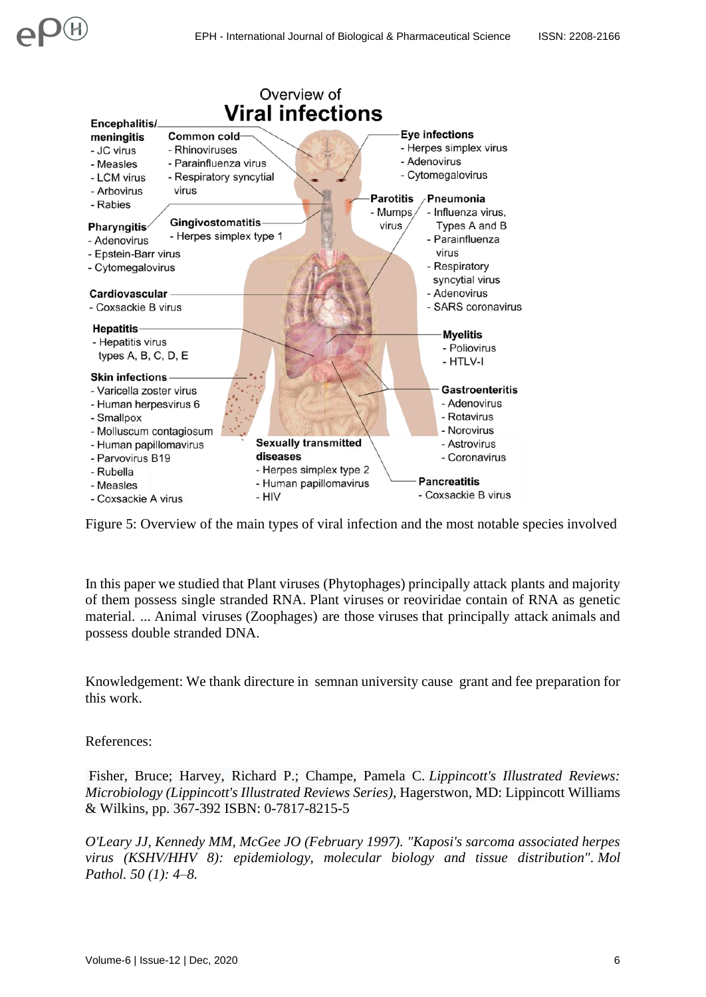

Figure 5: Overview of the main types of viral infection and the most notable species involved

In this paper we studied that Plant viruses (Phytophages) principally attack plants and majority of them possess single stranded RNA. Plant viruses or reoviridae contain of RNA as genetic material. ... Animal viruses (Zoophages) are those viruses that principally attack animals and possess double stranded DNA.

Knowledgement: We thank directure in semnan university cause grant and fee preparation for this work.

#### References:

Fisher, Bruce; Harvey, Richard P.; Champe, Pamela C. *Lippincott's Illustrated Reviews: Microbiology (Lippincott's Illustrated Reviews Series)*, Hagerstwon, MD: Lippincott Williams & Wilkins, pp. 367-392 [ISBN:](https://en.wikipedia.org/wiki/International_Standard_Book_Number) [0-7817-8215-5](https://commons.wikimedia.org/wiki/Special:BookSources/0-7817-8215-5)

*O'Leary JJ, Kennedy MM, McGee JO (February 1997). ["Kaposi's sarcoma associated herpes](https://www.ncbi.nlm.nih.gov/pmc/articles/PMC379571)  [virus \(KSHV/HHV 8\): epidemiology, molecular biology and tissue distribution".](https://www.ncbi.nlm.nih.gov/pmc/articles/PMC379571) Mol Pathol. 50 (1): 4–8.*